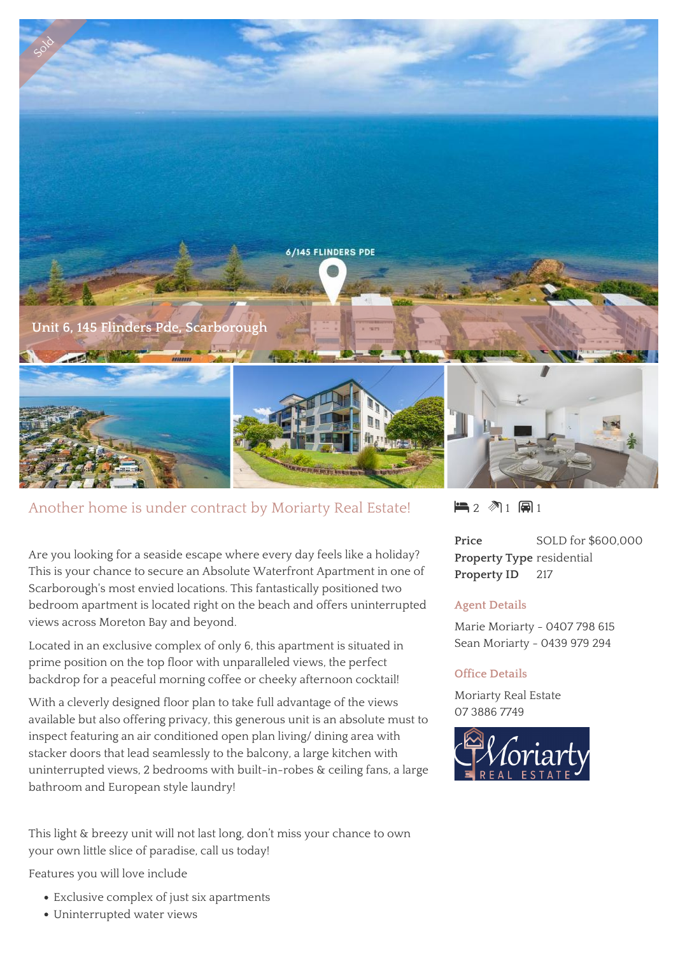

## Another home is under contract by Moriarty Real Estate!

Are you looking for a seaside escape where every day feels like a holiday? This is your chance to secure an Absolute Waterfront Apartment in one of Scarborough's most envied locations. This fantastically positioned two bedroom apartment is located right on the beach and offers uninterrupted views across Moreton Bay and beyond.

Located in an exclusive complex of only 6, this apartment is situated in prime position on the top floor with unparalleled views, the perfect backdrop for a peaceful morning coffee or cheeky afternoon cocktail!

With a cleverly designed floor plan to take full advantage of the views available but also offering privacy, this generous unit is an absolute must to inspect featuring an air conditioned open plan living/ dining area with stacker doors that lead seamlessly to the balcony, a large kitchen with uninterrupted views, 2 bedrooms with built-in-robes & ceiling fans, a large bathroom and European style laundry!

This light & breezy unit will not last long, don't miss your chance to own your own little slice of paradise, call us today!

Features you will love include

- Exclusive complex of just six apartments
- Uninterrupted water views

 $\blacksquare$  2  $\blacksquare$  1  $\blacksquare$  1

**Price** SOLD for \$600,000 **Property Type** residential **Property ID** 217

## **Agent Details**

Marie Moriarty - 0407 798 615 Sean Moriarty - 0439 979 294

## **Office Details**

Moriarty Real Estate 07 3886 7749